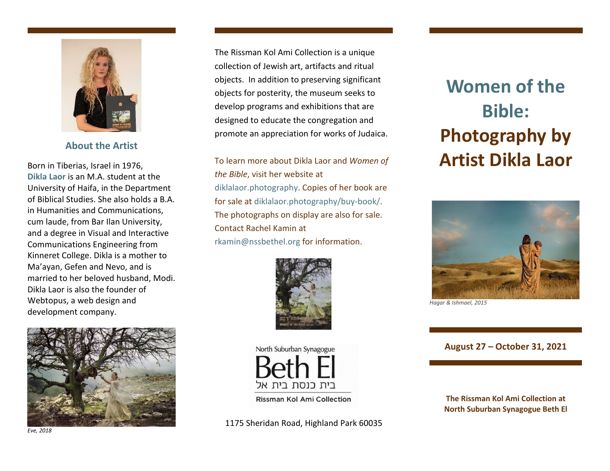

**About the Artist** 

Born in Tiberias, Israel in 1976, **Dikla Laor** is an M.A. student at the University of Haifa, in the Department of Biblical Studies. She also holds a B.A. in Humanities and Communications, cum laude, from Bar Ilan University, and a degree in Visual and Interactive Communications Engineering from Kinneret College. Dikla is a mother to Ma'ayan, Gefen and Nevo, and is married to her beloved husband, Modi. Dikla Laor is also the founder of Webtopus, a web design and development company.

The Rissman Kol Ami Collection is a unique collection of Jewish art, artifacts and ritual objects. In addition to preserving significant objects for posterity, the museum seeks to develop programs and exhibitions that are designed to educate the congregation and promote an appreciation for works of Judaica.

To learn more about Dikla Laor and *Women of the Bible*, visit her website at diklalaor.photography. Copies of her book are for sale at diklalaor.photography/buy-book/. The photographs on display are also for sale. Contact Rachel Kamin at rkamin@nssbethel.org for information.



North Suburban Synagogue

ביח כוסח ביח אל

*Eve, 2018*

**Women of the Bible:Photography by Artist Dikla Laor**



*Hagar & Ishmael, 2015* 

**August 27 – October 31, 2021**

**The Rissman Kol Ami Collection at North Suburban Synagogue Beth El**

1175 Sheridan Road, Highland Park 60035

Rissman Kol Ami Collection